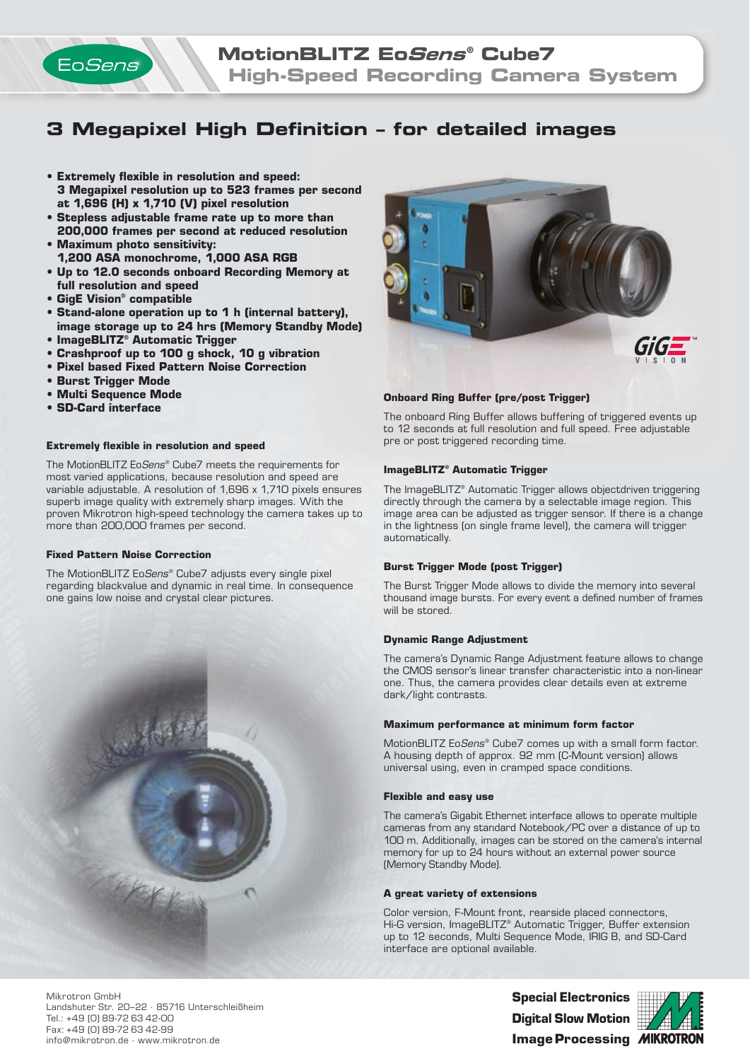

# **3 Megapixel High Definition - for detailed images**

- **Extremely flexible in resolution and speed: 3 Megapixel resolution up to 523 frames per second at 1,696 (H) x 1,710 (V) pixel resolution**
- **Stepless adjustable frame rate up to more than 200,000 frames per second at reduced resolution • Maximum photo sensitivity:**
- **1,200 ASA monochrome, 1,000 ASA RGB**
- **Up to 12.0 seconds onboard Recording Memory at full resolution and speed**
- **GigE Vision® compatible**
- **Stand-alone operation up to 1 h (internal battery), image storage up to 24 hrs (Memory Standby Mode)**
- **ImageBLITZ® Automatic Trigger**
- **Crashproof up to 100 g shock, 10 g vibration**
- **Pixel based Fixed Pattern Noise Correction**
- **Burst Trigger Mode**
- **Multi Sequence Mode**
- **SD-Card interface**

## **Extremely flexible in resolution and speed**

The MotionBLITZ EoSens® Cube7 meets the requirements for most varied applications, because resolution and speed are variable adjustable. A resolution of 1,696 x 1,710 pixels ensures superb image quality with extremely sharp images. With the proven Mikrotron high-speed technology the camera takes up to more than 200,000 frames per second.

#### **Fixed Pattern Noise Correction**

The MotionBLITZ EoSens® Cube7 adjusts every single pixel regarding blackvalue and dynamic in real time. In consequence one gains low noise and crystal clear pictures.





## **Onboard Ring Buffer (pre/post Trigger)**

The onboard Ring Buffer allows buffering of triggered events up to 12 seconds at full resolution and full speed. Free adjustable pre or post triggered recording time.

## **ImageBLITZ® Automatic Trigger**

The ImageBLITZ® Automatic Trigger allows objectdriven triggering directly through the camera by a selectable image region. This image area can be adjusted as trigger sensor. If there is a change in the lightness (on single frame level), the camera will trigger automatically.

## **Burst Trigger Mode (post Trigger)**

The Burst Trigger Mode allows to divide the memory into several thousand image bursts. For every event a defined number of frames will be stored.

## **Dynamic Range Adjustment**

The camera's Dynamic Range Adjustment feature allows to change the CMOS sensor's linear transfer characteristic into a non-linear one. Thus, the camera provides clear details even at extreme dark/light contrasts.

#### **Maximum performance at minimum form factor**

MotionBLITZ EoSens® Cube7 comes up with a small form factor. A housing depth of approx. 92 mm (C-Mount version) allows universal using, even in cramped space conditions.

#### **Flexible and easy use**

The camera's Gigabit Ethernet interface allows to operate multiple cameras from any standard Notebook/PC over a distance of up to 100 m. Additionally, images can be stored on the camera's internal memory for up to 24 hours without an external power source (Memory Standby Mode).

#### **A great variety of extensions**

Color version, F-Mount front, rearside placed connectors, Hi-G version, ImageBLITZ® Automatic Trigger, Buffer extension up to 12 seconds, Multi Sequence Mode, IRIG B, and SD-Card interface are optional available.

Mikrotron GmbH Landshuter Str. 20–22 · 85716 Unterschleißheim Tel.: +49 (0) 89-72 63 42-00 Fax: +49 (0) 89-72 63 42-99 info@mikrotron.de · www.mikrotron.de

**Special Electronics Digital Slow Motion Image Processing**